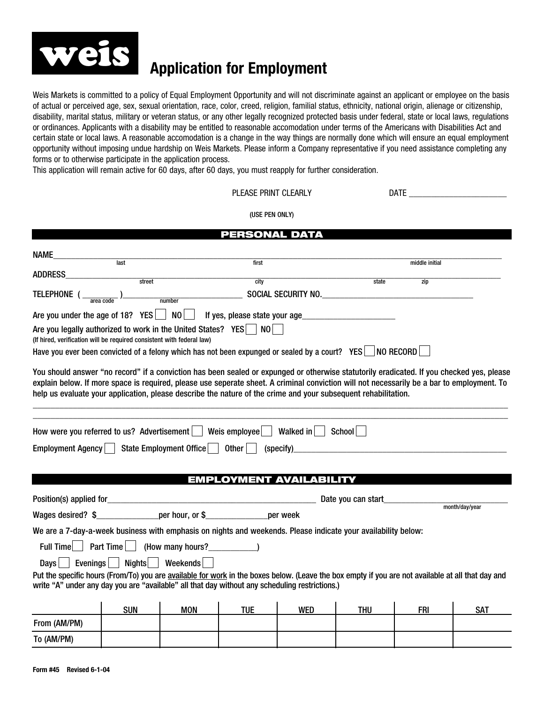

## **Application for Employment**

Weis Markets is committed to a policy of Equal Employment Opportunity and will not discriminate against an applicant or employee on the basis of actual or perceived age, sex, sexual orientation, race, color, creed, religion, familial status, ethnicity, national origin, alienage or citizenship, disability, marital status, military or veteran status, or any other legally recognized protected basis under federal, state or local laws, regulations or ordinances. Applicants with a disability may be entitled to reasonable accomodation under terms of the Americans with Disabilities Act and certain state or local laws. A reasonable accomodation is a change in the way things are normally done which will ensure an equal employment opportunity without imposing undue hardship on Weis Markets. Please inform a Company representative if you need assistance completing any forms or to otherwise participate in the application process.

This application will remain active for 60 days, after 60 days, you must reapply for further consideration.

## PLEASE PRINT CLEARLY DATE \_\_\_\_\_\_\_\_\_\_\_\_\_\_\_\_\_\_\_\_\_\_

(USE PEN ONLY)

|                                                                                                                                                                                                                                                                                                                                          |            |                                 | <b>PERSONAL DATA</b> |                                |                                                    |                |                |
|------------------------------------------------------------------------------------------------------------------------------------------------------------------------------------------------------------------------------------------------------------------------------------------------------------------------------------------|------------|---------------------------------|----------------------|--------------------------------|----------------------------------------------------|----------------|----------------|
| NAME<br>$\begin{array}{c c c c} \hline \text{last} & \text{last} \\\hline \end{array}$                                                                                                                                                                                                                                                   |            |                                 |                      |                                |                                                    |                |                |
|                                                                                                                                                                                                                                                                                                                                          |            |                                 | first                |                                |                                                    | middle initial |                |
| <b>ADDRESS</b>                                                                                                                                                                                                                                                                                                                           | stret      |                                 | city                 |                                | state                                              | zip            |                |
|                                                                                                                                                                                                                                                                                                                                          |            |                                 |                      |                                | SOCIAL SECURITY NO.                                |                |                |
| Are you under the age of 18? $YES$   NO   If yes, please state your age                                                                                                                                                                                                                                                                  |            |                                 |                      |                                |                                                    |                |                |
| Are you legally authorized to work in the United States? YES   NO  <br>(If hired, verification will be required consistent with federal law)                                                                                                                                                                                             |            |                                 |                      |                                |                                                    |                |                |
| Have you ever been convicted of a felony which has not been expunged or sealed by a court? YES   NO RECORD                                                                                                                                                                                                                               |            |                                 |                      |                                |                                                    |                |                |
| explain below. If more space is required, please use seperate sheet. A criminal conviction will not necessarily be a bar to employment. To<br>help us evaluate your application, please describe the nature of the crime and your subsequent rehabilitation.<br>How were you referred to us? Advertisement $\vert$ Weis employee $\vert$ |            |                                 |                      | Walked in $\vert$              | School                                             |                |                |
|                                                                                                                                                                                                                                                                                                                                          |            |                                 |                      |                                |                                                    |                |                |
| Employment Agency                                                                                                                                                                                                                                                                                                                        |            | State Employment Office   0ther |                      | (specify)                      | <u> 1980 - John Stein, Amerikaansk politiker (</u> |                |                |
|                                                                                                                                                                                                                                                                                                                                          |            |                                 |                      |                                |                                                    |                |                |
|                                                                                                                                                                                                                                                                                                                                          |            |                                 |                      | <b>EMPLOYMENT AVAILABILITY</b> |                                                    |                |                |
|                                                                                                                                                                                                                                                                                                                                          |            |                                 |                      |                                |                                                    |                |                |
|                                                                                                                                                                                                                                                                                                                                          |            |                                 |                      |                                | Date you can start_                                |                | month/day/year |
| Wages desired? \$ per hour, or \$ per week                                                                                                                                                                                                                                                                                               |            |                                 |                      |                                |                                                    |                |                |
| We are a 7-day-a-week business with emphasis on nights and weekends. Please indicate your availability below:                                                                                                                                                                                                                            |            |                                 |                      |                                |                                                    |                |                |
| Full Time   Part Time   (How many hours? _______________)                                                                                                                                                                                                                                                                                |            |                                 |                      |                                |                                                    |                |                |
| Evenings $\vert$ $\vert$<br><b>Days</b>                                                                                                                                                                                                                                                                                                  | Nights     | Weekends                        |                      |                                |                                                    |                |                |
| Put the specific hours (From/To) you are available for work in the boxes below. (Leave the box empty if you are not available at all that day and<br>write "A" under any day you are "available" all that day without any scheduling restrictions.)                                                                                      |            |                                 |                      |                                |                                                    |                |                |
|                                                                                                                                                                                                                                                                                                                                          | <b>SUN</b> | <b>MON</b>                      | <b>TUE</b>           | <b>WED</b>                     | <b>THU</b>                                         | <b>FRI</b>     | <b>SAT</b>     |
| From (AM/PM)                                                                                                                                                                                                                                                                                                                             |            |                                 |                      |                                |                                                    |                |                |
|                                                                                                                                                                                                                                                                                                                                          |            |                                 |                      |                                |                                                    |                |                |
| To (AM/PM)                                                                                                                                                                                                                                                                                                                               |            |                                 |                      |                                |                                                    |                |                |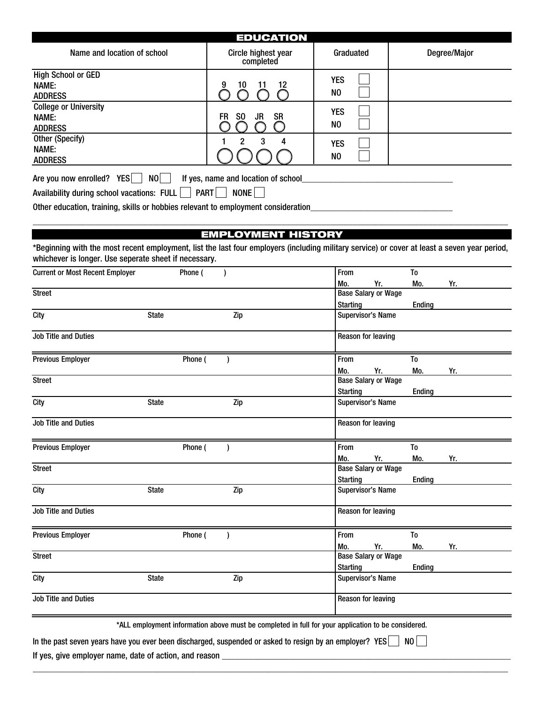| <b>EDUCATION</b>                                                                                                                                                                                                                         |                                  |                   |              |  |  |  |  |
|------------------------------------------------------------------------------------------------------------------------------------------------------------------------------------------------------------------------------------------|----------------------------------|-------------------|--------------|--|--|--|--|
| Name and location of school                                                                                                                                                                                                              | Circle highest year<br>completed | Graduated         | Degree/Major |  |  |  |  |
| <b>High School or GED</b><br>NAME:<br><b>ADDRESS</b>                                                                                                                                                                                     | 10                               | <b>YES</b><br>NO. |              |  |  |  |  |
| <b>College or University</b><br>NAME:<br><b>ADDRESS</b>                                                                                                                                                                                  | <b>SR</b><br>SO.<br>FR.<br>JR    | <b>YES</b><br>NO  |              |  |  |  |  |
| Other (Specify)<br>NAME:<br><b>ADDRESS</b>                                                                                                                                                                                               | 2<br>3                           | <b>YES</b><br>NO  |              |  |  |  |  |
| NO I<br>Are you now enrolled? YES  <br>If yes, name and location of school<br><b>PART</b><br>NONE<br>Availability during school vacations: FULL    <br>Other education, training, skills or hobbies relevant to employment consideration |                                  |                   |              |  |  |  |  |
| <b>EMPLOYMENT HISTORY</b>                                                                                                                                                                                                                |                                  |                   |              |  |  |  |  |
| *Beginning with the most recent employment, list the last four employers (including military service) or cover at least a seven year period,<br>whichever is longer. Use seperate sheet if necessary.                                    |                                  |                   |              |  |  |  |  |

| <b>Current or Most Recent Employer</b> |              | Phone ( |           |                                                                                                    | From                       |     | T <sub>0</sub> |     |
|----------------------------------------|--------------|---------|-----------|----------------------------------------------------------------------------------------------------|----------------------------|-----|----------------|-----|
|                                        |              |         |           |                                                                                                    | Mo.                        | Yr. | Mo.            | Yr. |
| <b>Street</b>                          |              |         |           |                                                                                                    | <b>Base Salary or Wage</b> |     |                |     |
|                                        |              |         |           |                                                                                                    | <b>Starting</b>            |     | Ending         |     |
| City                                   | <b>State</b> |         |           | Zip                                                                                                | <b>Supervisor's Name</b>   |     |                |     |
| <b>Job Title and Duties</b>            |              |         |           |                                                                                                    | <b>Reason for leaving</b>  |     |                |     |
| <b>Previous Employer</b>               |              | Phone ( |           |                                                                                                    | From                       |     | To             |     |
|                                        |              |         |           |                                                                                                    | Mo.                        | Yr. | Mo.            | Yr. |
| <b>Street</b>                          |              |         |           |                                                                                                    | <b>Base Salary or Wage</b> |     |                |     |
|                                        |              |         |           |                                                                                                    | <b>Starting</b>            |     | <b>Ending</b>  |     |
| City                                   | <b>State</b> |         |           | Zip                                                                                                | <b>Supervisor's Name</b>   |     |                |     |
| <b>Job Title and Duties</b>            |              |         |           |                                                                                                    | <b>Reason for leaving</b>  |     |                |     |
| <b>Previous Employer</b>               |              | Phone ( | $\lambda$ |                                                                                                    | From                       |     | To             |     |
|                                        |              |         |           |                                                                                                    | Mo.                        | Yr. | Mo.            | Yr. |
| <b>Street</b>                          |              |         |           |                                                                                                    | <b>Base Salary or Wage</b> |     |                |     |
|                                        |              |         |           |                                                                                                    | <b>Starting</b>            |     | <b>Ending</b>  |     |
| City                                   | <b>State</b> |         |           | Zip                                                                                                | <b>Supervisor's Name</b>   |     |                |     |
| <b>Job Title and Duties</b>            |              |         |           |                                                                                                    | <b>Reason for leaving</b>  |     |                |     |
| <b>Previous Employer</b>               |              | Phone ( | $\lambda$ |                                                                                                    | From                       |     | T <sub>0</sub> |     |
|                                        |              |         |           |                                                                                                    | Mo.                        | Yr. | Mo.            | Yr. |
| <b>Street</b>                          |              |         |           |                                                                                                    | <b>Base Salary or Wage</b> |     |                |     |
|                                        |              |         |           |                                                                                                    | <b>Starting</b>            |     | <b>Ending</b>  |     |
| City                                   | <b>State</b> |         |           | Zip                                                                                                | <b>Supervisor's Name</b>   |     |                |     |
| <b>Job Title and Duties</b>            |              |         |           |                                                                                                    | <b>Reason for leaving</b>  |     |                |     |
|                                        |              |         |           | *ALL employment information above must be completed in full for your application to be considered. |                            |     |                |     |

\_\_\_\_\_\_\_\_\_\_\_\_\_\_\_\_\_\_\_\_\_\_\_\_\_\_\_\_\_\_\_\_\_\_\_\_\_\_\_\_\_\_\_\_\_\_\_\_\_\_\_\_\_\_\_\_\_\_\_\_\_\_\_\_\_\_\_\_\_\_\_\_\_\_\_\_\_\_\_\_\_\_\_\_\_\_\_\_\_\_\_\_\_\_\_\_\_\_\_\_\_\_\_\_\_\_\_

In the past seven years have you ever been discharged, suspended or asked to resign by an employer? YES  $\Box$  NO

If yes, give employer name, date of action, and reason \_\_\_\_\_\_\_\_\_\_\_\_\_\_\_\_\_\_\_\_\_\_\_\_\_\_\_\_\_\_\_\_\_\_\_\_\_\_\_\_\_\_\_\_\_\_\_\_\_\_\_\_\_\_\_\_\_\_\_\_\_\_\_\_\_